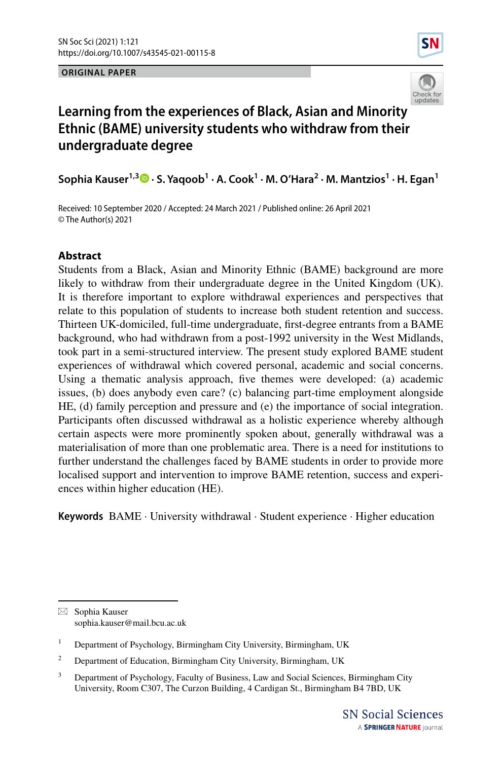### **ORIGINAL PAPER**





# **Learning from the experiences of Black, Asian and Minority Ethnic (BAME) university students who withdraw from their undergraduate degree**

**Sophia Kauser1,3  [·](http://orcid.org/0000-0002-8391-6932) S. Yaqoob<sup>1</sup> · A. Cook<sup>1</sup> · M. O'Hara<sup>2</sup> · M. Mantzios1 · H. Egan1**

Received: 10 September 2020 / Accepted: 24 March 2021 / Published online: 26 April 2021 © The Author(s) 2021

### **Abstract**

Students from a Black, Asian and Minority Ethnic (BAME) background are more likely to withdraw from their undergraduate degree in the United Kingdom (UK). It is therefore important to explore withdrawal experiences and perspectives that relate to this population of students to increase both student retention and success. Thirteen UK-domiciled, full-time undergraduate, frst-degree entrants from a BAME background, who had withdrawn from a post-1992 university in the West Midlands, took part in a semi-structured interview. The present study explored BAME student experiences of withdrawal which covered personal, academic and social concerns. Using a thematic analysis approach, fve themes were developed: (a) academic issues, (b) does anybody even care? (c) balancing part-time employment alongside HE, (d) family perception and pressure and (e) the importance of social integration. Participants often discussed withdrawal as a holistic experience whereby although certain aspects were more prominently spoken about, generally withdrawal was a materialisation of more than one problematic area. There is a need for institutions to further understand the challenges faced by BAME students in order to provide more localised support and intervention to improve BAME retention, success and experiences within higher education (HE).

**Keywords** BAME · University withdrawal · Student experience · Higher education

 $\boxtimes$  Sophia Kauser sophia.kauser@mail.bcu.ac.uk

<sup>&</sup>lt;sup>1</sup> Department of Psychology, Birmingham City University, Birmingham, UK

<sup>&</sup>lt;sup>2</sup> Department of Education, Birmingham City University, Birmingham, UK

<sup>&</sup>lt;sup>3</sup> Department of Psychology, Faculty of Business, Law and Social Sciences, Birmingham City University, Room C307, The Curzon Building, 4 Cardigan St., Birmingham B4 7BD, UK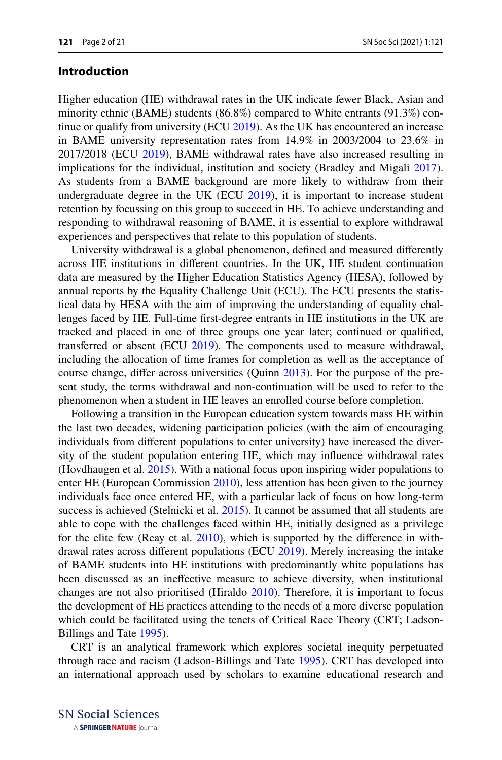### **Introduction**

Higher education (HE) withdrawal rates in the UK indicate fewer Black, Asian and minority ethnic (BAME) students (86.8%) compared to White entrants (91.3%) continue or qualify from university (ECU [2019](#page-19-0)). As the UK has encountered an increase in BAME university representation rates from 14.9% in 2003/2004 to 23.6% in 2017/2018 (ECU [2019\)](#page-19-0), BAME withdrawal rates have also increased resulting in implications for the individual, institution and society (Bradley and Migali [2017\)](#page-19-1). As students from a BAME background are more likely to withdraw from their undergraduate degree in the UK (ECU [2019](#page-19-0)), it is important to increase student retention by focussing on this group to succeed in HE. To achieve understanding and responding to withdrawal reasoning of BAME, it is essential to explore withdrawal experiences and perspectives that relate to this population of students.

University withdrawal is a global phenomenon, defned and measured diferently across HE institutions in diferent countries. In the UK, HE student continuation data are measured by the Higher Education Statistics Agency (HESA), followed by annual reports by the Equality Challenge Unit (ECU). The ECU presents the statistical data by HESA with the aim of improving the understanding of equality challenges faced by HE. Full-time frst-degree entrants in HE institutions in the UK are tracked and placed in one of three groups one year later; continued or qualifed, transferred or absent (ECU [2019\)](#page-19-0). The components used to measure withdrawal, including the allocation of time frames for completion as well as the acceptance of course change, difer across universities (Quinn [2013](#page-20-0)). For the purpose of the present study, the terms withdrawal and non-continuation will be used to refer to the phenomenon when a student in HE leaves an enrolled course before completion.

Following a transition in the European education system towards mass HE within the last two decades, widening participation policies (with the aim of encouraging individuals from diferent populations to enter university) have increased the diversity of the student population entering HE, which may infuence withdrawal rates (Hovdhaugen et al. [2015](#page-19-2)). With a national focus upon inspiring wider populations to enter HE (European Commission [2010\)](#page-19-3), less attention has been given to the journey individuals face once entered HE, with a particular lack of focus on how long-term success is achieved (Stelnicki et al. [2015](#page-20-1)). It cannot be assumed that all students are able to cope with the challenges faced within HE, initially designed as a privilege for the elite few (Reay et al. [2010](#page-20-2)), which is supported by the diference in withdrawal rates across diferent populations (ECU [2019\)](#page-19-0). Merely increasing the intake of BAME students into HE institutions with predominantly white populations has been discussed as an inefective measure to achieve diversity, when institutional changes are not also prioritised (Hiraldo [2010\)](#page-19-4). Therefore, it is important to focus the development of HE practices attending to the needs of a more diverse population which could be facilitated using the tenets of Critical Race Theory (CRT; Ladson-Billings and Tate [1995](#page-19-5)).

CRT is an analytical framework which explores societal inequity perpetuated through race and racism (Ladson-Billings and Tate [1995](#page-19-5)). CRT has developed into an international approach used by scholars to examine educational research and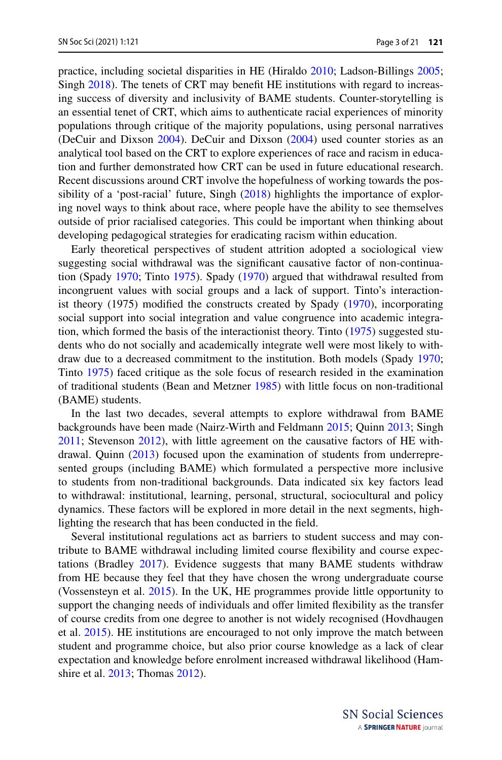practice, including societal disparities in HE (Hiraldo [2010;](#page-19-4) Ladson-Billings [2005;](#page-19-6) Singh [2018](#page-20-3)). The tenets of CRT may beneft HE institutions with regard to increasing success of diversity and inclusivity of BAME students. Counter-storytelling is an essential tenet of CRT, which aims to authenticate racial experiences of minority populations through critique of the majority populations, using personal narratives (DeCuir and Dixson [2004](#page-19-7)). DeCuir and Dixson ([2004\)](#page-19-7) used counter stories as an analytical tool based on the CRT to explore experiences of race and racism in education and further demonstrated how CRT can be used in future educational research. Recent discussions around CRT involve the hopefulness of working towards the pos-sibility of a 'post-racial' future, Singh ([2018\)](#page-20-3) highlights the importance of exploring novel ways to think about race, where people have the ability to see themselves outside of prior racialised categories. This could be important when thinking about developing pedagogical strategies for eradicating racism within education.

Early theoretical perspectives of student attrition adopted a sociological view suggesting social withdrawal was the signifcant causative factor of non-continuation (Spady [1970](#page-20-4); Tinto [1975\)](#page-20-5). Spady ([1970\)](#page-20-4) argued that withdrawal resulted from incongruent values with social groups and a lack of support. Tinto's interactionist theory (1975) modifed the constructs created by Spady [\(1970](#page-20-4)), incorporating social support into social integration and value congruence into academic integration, which formed the basis of the interactionist theory. Tinto ([1975\)](#page-20-5) suggested students who do not socially and academically integrate well were most likely to withdraw due to a decreased commitment to the institution. Both models (Spady [1970;](#page-20-4) Tinto [1975\)](#page-20-5) faced critique as the sole focus of research resided in the examination of traditional students (Bean and Metzner [1985\)](#page-19-8) with little focus on non-traditional (BAME) students.

In the last two decades, several attempts to explore withdrawal from BAME backgrounds have been made (Nairz-Wirth and Feldmann [2015](#page-20-6); Quinn [2013](#page-20-0); Singh [2011](#page-20-7); Stevenson [2012](#page-20-8)), with little agreement on the causative factors of HE withdrawal. Quinn ([2013\)](#page-20-0) focused upon the examination of students from underrepresented groups (including BAME) which formulated a perspective more inclusive to students from non-traditional backgrounds. Data indicated six key factors lead to withdrawal: institutional, learning, personal, structural, sociocultural and policy dynamics. These factors will be explored in more detail in the next segments, highlighting the research that has been conducted in the feld.

Several institutional regulations act as barriers to student success and may contribute to BAME withdrawal including limited course fexibility and course expectations (Bradley [2017](#page-19-9)). Evidence suggests that many BAME students withdraw from HE because they feel that they have chosen the wrong undergraduate course (Vossensteyn et al. [2015](#page-20-9)). In the UK, HE programmes provide little opportunity to support the changing needs of individuals and offer limited flexibility as the transfer of course credits from one degree to another is not widely recognised (Hovdhaugen et al. [2015\)](#page-19-2). HE institutions are encouraged to not only improve the match between student and programme choice, but also prior course knowledge as a lack of clear expectation and knowledge before enrolment increased withdrawal likelihood (Hamshire et al. [2013;](#page-19-10) Thomas [2012\)](#page-20-10).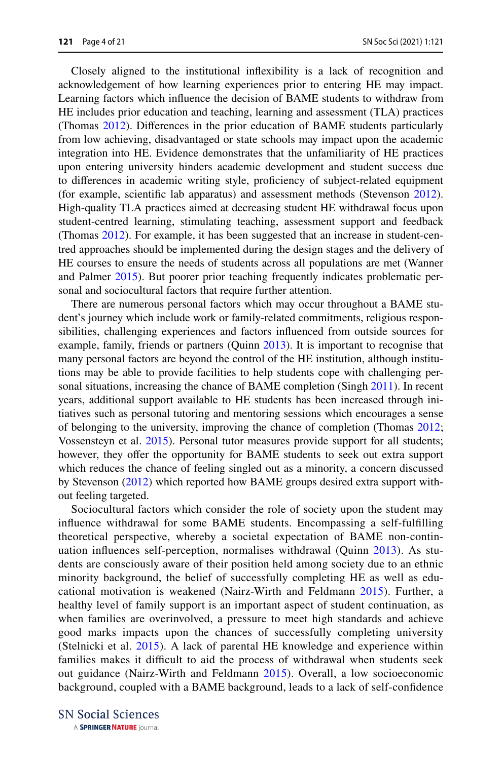Closely aligned to the institutional infexibility is a lack of recognition and acknowledgement of how learning experiences prior to entering HE may impact. Learning factors which infuence the decision of BAME students to withdraw from HE includes prior education and teaching, learning and assessment (TLA) practices (Thomas [2012](#page-20-10)). Diferences in the prior education of BAME students particularly from low achieving, disadvantaged or state schools may impact upon the academic integration into HE. Evidence demonstrates that the unfamiliarity of HE practices upon entering university hinders academic development and student success due to diferences in academic writing style, profciency of subject-related equipment (for example, scientifc lab apparatus) and assessment methods (Stevenson [2012\)](#page-20-8). High-quality TLA practices aimed at decreasing student HE withdrawal focus upon student-centred learning, stimulating teaching, assessment support and feedback (Thomas [2012](#page-20-10)). For example, it has been suggested that an increase in student-centred approaches should be implemented during the design stages and the delivery of HE courses to ensure the needs of students across all populations are met (Wanner and Palmer [2015\)](#page-20-11). But poorer prior teaching frequently indicates problematic personal and sociocultural factors that require further attention.

There are numerous personal factors which may occur throughout a BAME student's journey which include work or family-related commitments, religious responsibilities, challenging experiences and factors infuenced from outside sources for example, family, friends or partners (Quinn [2013\)](#page-20-0). It is important to recognise that many personal factors are beyond the control of the HE institution, although institutions may be able to provide facilities to help students cope with challenging personal situations, increasing the chance of BAME completion (Singh [2011\)](#page-20-7). In recent years, additional support available to HE students has been increased through initiatives such as personal tutoring and mentoring sessions which encourages a sense of belonging to the university, improving the chance of completion (Thomas [2012;](#page-20-10) Vossensteyn et al. [2015\)](#page-20-9). Personal tutor measures provide support for all students; however, they offer the opportunity for BAME students to seek out extra support which reduces the chance of feeling singled out as a minority, a concern discussed by Stevenson [\(2012](#page-20-8)) which reported how BAME groups desired extra support without feeling targeted.

Sociocultural factors which consider the role of society upon the student may infuence withdrawal for some BAME students. Encompassing a self-fulflling theoretical perspective, whereby a societal expectation of BAME non-continuation infuences self-perception, normalises withdrawal (Quinn [2013\)](#page-20-0). As students are consciously aware of their position held among society due to an ethnic minority background, the belief of successfully completing HE as well as educational motivation is weakened (Nairz-Wirth and Feldmann [2015](#page-20-6)). Further, a healthy level of family support is an important aspect of student continuation, as when families are overinvolved, a pressure to meet high standards and achieve good marks impacts upon the chances of successfully completing university (Stelnicki et al. [2015\)](#page-20-1). A lack of parental HE knowledge and experience within families makes it difficult to aid the process of withdrawal when students seek out guidance (Nairz-Wirth and Feldmann [2015](#page-20-6)). Overall, a low socioeconomic background, coupled with a BAME background, leads to a lack of self-confdence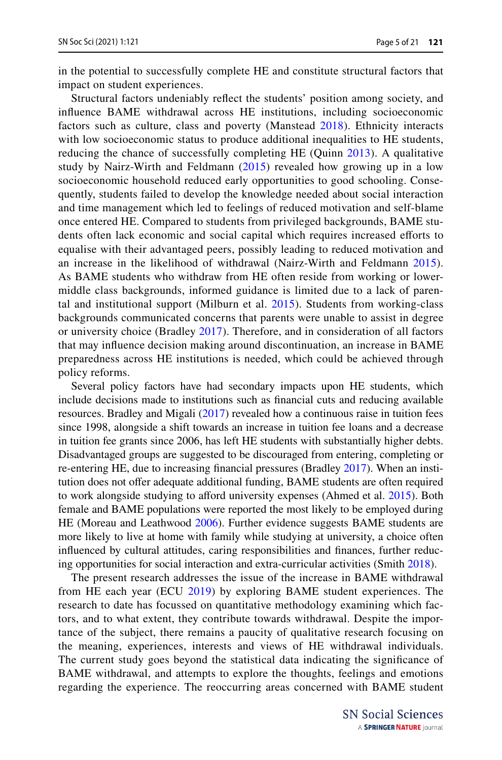in the potential to successfully complete HE and constitute structural factors that impact on student experiences.

Structural factors undeniably refect the students' position among society, and infuence BAME withdrawal across HE institutions, including socioeconomic factors such as culture, class and poverty (Manstead [2018](#page-20-12)). Ethnicity interacts with low socioeconomic status to produce additional inequalities to HE students, reducing the chance of successfully completing HE (Quinn [2013\)](#page-20-0). A qualitative study by Nairz-Wirth and Feldmann ([2015](#page-20-6)) revealed how growing up in a low socioeconomic household reduced early opportunities to good schooling. Consequently, students failed to develop the knowledge needed about social interaction and time management which led to feelings of reduced motivation and self-blame once entered HE. Compared to students from privileged backgrounds, BAME students often lack economic and social capital which requires increased eforts to equalise with their advantaged peers, possibly leading to reduced motivation and an increase in the likelihood of withdrawal (Nairz-Wirth and Feldmann [2015](#page-20-6)). As BAME students who withdraw from HE often reside from working or lowermiddle class backgrounds, informed guidance is limited due to a lack of parental and institutional support (Milburn et al. [2015](#page-20-13)). Students from working-class backgrounds communicated concerns that parents were unable to assist in degree or university choice (Bradley [2017\)](#page-19-9). Therefore, and in consideration of all factors that may infuence decision making around discontinuation, an increase in BAME preparedness across HE institutions is needed, which could be achieved through policy reforms.

Several policy factors have had secondary impacts upon HE students, which include decisions made to institutions such as fnancial cuts and reducing available resources. Bradley and Migali [\(2017](#page-19-1)) revealed how a continuous raise in tuition fees since 1998, alongside a shift towards an increase in tuition fee loans and a decrease in tuition fee grants since 2006, has left HE students with substantially higher debts. Disadvantaged groups are suggested to be discouraged from entering, completing or re-entering HE, due to increasing fnancial pressures (Bradley [2017](#page-19-9)). When an institution does not offer adequate additional funding, BAME students are often required to work alongside studying to afford university expenses (Ahmed et al. [2015](#page-19-11)). Both female and BAME populations were reported the most likely to be employed during HE (Moreau and Leathwood [2006\)](#page-20-14). Further evidence suggests BAME students are more likely to live at home with family while studying at university, a choice often infuenced by cultural attitudes, caring responsibilities and fnances, further reducing opportunities for social interaction and extra-curricular activities (Smith [2018](#page-20-15)).

The present research addresses the issue of the increase in BAME withdrawal from HE each year (ECU [2019](#page-19-0)) by exploring BAME student experiences. The research to date has focussed on quantitative methodology examining which factors, and to what extent, they contribute towards withdrawal. Despite the importance of the subject, there remains a paucity of qualitative research focusing on the meaning, experiences, interests and views of HE withdrawal individuals. The current study goes beyond the statistical data indicating the signifcance of BAME withdrawal, and attempts to explore the thoughts, feelings and emotions regarding the experience. The reoccurring areas concerned with BAME student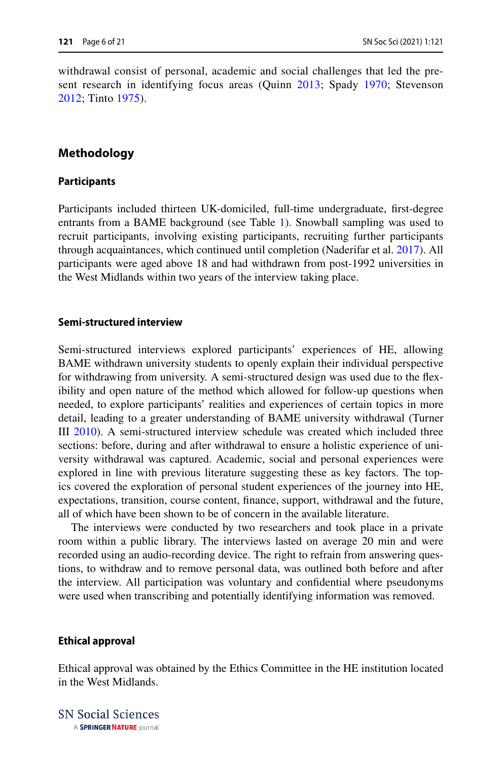withdrawal consist of personal, academic and social challenges that led the present research in identifying focus areas (Quinn [2013;](#page-20-0) Spady [1970](#page-20-4); Stevenson [2012;](#page-20-8) Tinto [1975\)](#page-20-5).

## **Methodology**

### **Participants**

Participants included thirteen UK-domiciled, full-time undergraduate, frst-degree entrants from a BAME background (see Table [1\)](#page-6-0). Snowball sampling was used to recruit participants, involving existing participants, recruiting further participants through acquaintances, which continued until completion (Naderifar et al. [2017](#page-20-16)). All participants were aged above 18 and had withdrawn from post-1992 universities in the West Midlands within two years of the interview taking place.

### **Semi‑structured interview**

Semi-structured interviews explored participants' experiences of HE, allowing BAME withdrawn university students to openly explain their individual perspective for withdrawing from university. A semi-structured design was used due to the fexibility and open nature of the method which allowed for follow-up questions when needed, to explore participants' realities and experiences of certain topics in more detail, leading to a greater understanding of BAME university withdrawal (Turner III [2010\)](#page-20-17). A semi-structured interview schedule was created which included three sections: before, during and after withdrawal to ensure a holistic experience of university withdrawal was captured. Academic, social and personal experiences were explored in line with previous literature suggesting these as key factors. The topics covered the exploration of personal student experiences of the journey into HE, expectations, transition, course content, fnance, support, withdrawal and the future, all of which have been shown to be of concern in the available literature.

The interviews were conducted by two researchers and took place in a private room within a public library. The interviews lasted on average 20 min and were recorded using an audio-recording device. The right to refrain from answering questions, to withdraw and to remove personal data, was outlined both before and after the interview. All participation was voluntary and confdential where pseudonyms were used when transcribing and potentially identifying information was removed.

### **Ethical approval**

Ethical approval was obtained by the Ethics Committee in the HE institution located in the West Midlands.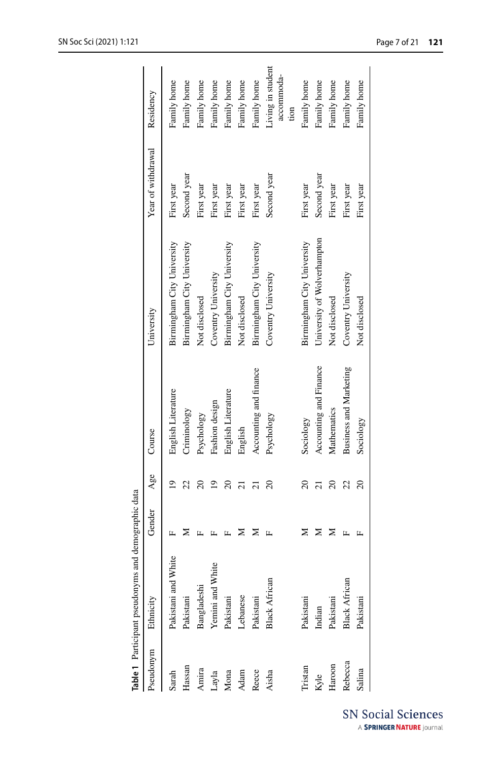|           | Table 1 Participant pseudonyms | and demographic data |                |                               |                             |                    |                                         |
|-----------|--------------------------------|----------------------|----------------|-------------------------------|-----------------------------|--------------------|-----------------------------------------|
| Pseudonym | Ethnicity                      | Gender               | Age            | Course                        | University                  | Year of withdrawal | Residency                               |
| Sarah     | Vhite<br>Pakistani and V       |                      | $\overline{a}$ | English Literature            | Birmingham City University  | First year         | Family home                             |
| Hassan    | Pakistani                      |                      |                | Criminology                   | Birmingham City University  | Second year        | Family home                             |
| Amira     | Bangladeshi                    |                      |                | Psychology                    | Not disclosed               | First year         | Family home                             |
| Layla     | Yemini and White               |                      | ≘              | Fashion design                | Coventry University         | First year         | Family home                             |
| Mona      | Pakistani                      |                      |                | English Literature            | Birmingham City University  | First year         | Family home                             |
| Adam      | Lebanese                       |                      |                | English                       | Not disclosed               | First year         | Family home                             |
| Reece     | Pakistani                      |                      |                | Accounting and finance        | Birmingham City University  | First year         | Family home                             |
| Aisha     | <b>Black African</b>           |                      |                | Psychology                    | Coventry University         | Second year        | Living in student<br>accommoda-<br>tion |
| Tristan   | Pakistani                      |                      | $\overline{c}$ | Sociology                     | Birmingham City University  | First year         | Family home                             |
| Kyle      | Indian                         |                      |                | Accounting and Finance        | University of Wolverhampton | Second year        | Family home                             |
| Haroon    | Pakistani                      |                      | $\approx$      | Mathematics                   | Not disclosed               | First year         | Family home                             |
| Rebecca   | <b>Black African</b>           |                      | 22             | <b>Business and Marketing</b> | Coventry University         | First year         | Family home                             |
| Salina    | Pakistani                      |                      | $\overline{c}$ | Sociology                     | Not disclosed               | First year         | Family home                             |
|           |                                |                      |                |                               |                             |                    |                                         |

<span id="page-6-0"></span>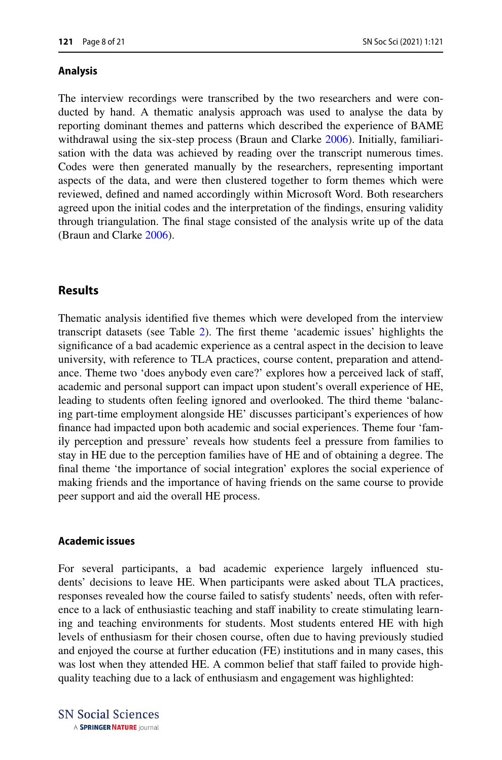#### **Analysis**

The interview recordings were transcribed by the two researchers and were conducted by hand. A thematic analysis approach was used to analyse the data by reporting dominant themes and patterns which described the experience of BAME withdrawal using the six-step process (Braun and Clarke [2006\)](#page-19-12). Initially, familiarisation with the data was achieved by reading over the transcript numerous times. Codes were then generated manually by the researchers, representing important aspects of the data, and were then clustered together to form themes which were reviewed, defned and named accordingly within Microsoft Word. Both researchers agreed upon the initial codes and the interpretation of the fndings, ensuring validity through triangulation. The fnal stage consisted of the analysis write up of the data (Braun and Clarke [2006](#page-19-12)).

### **Results**

Thematic analysis identifed fve themes which were developed from the interview transcript datasets (see Table [2\)](#page-8-0). The frst theme 'academic issues' highlights the signifcance of a bad academic experience as a central aspect in the decision to leave university, with reference to TLA practices, course content, preparation and attendance. Theme two 'does anybody even care?' explores how a perceived lack of staf, academic and personal support can impact upon student's overall experience of HE, leading to students often feeling ignored and overlooked. The third theme 'balancing part-time employment alongside HE' discusses participant's experiences of how fnance had impacted upon both academic and social experiences. Theme four 'family perception and pressure' reveals how students feel a pressure from families to stay in HE due to the perception families have of HE and of obtaining a degree. The fnal theme 'the importance of social integration' explores the social experience of making friends and the importance of having friends on the same course to provide peer support and aid the overall HE process.

### **Academic issues**

For several participants, a bad academic experience largely infuenced students' decisions to leave HE. When participants were asked about TLA practices, responses revealed how the course failed to satisfy students' needs, often with reference to a lack of enthusiastic teaching and staff inability to create stimulating learning and teaching environments for students. Most students entered HE with high levels of enthusiasm for their chosen course, often due to having previously studied and enjoyed the course at further education (FE) institutions and in many cases, this was lost when they attended HE. A common belief that staff failed to provide highquality teaching due to a lack of enthusiasm and engagement was highlighted: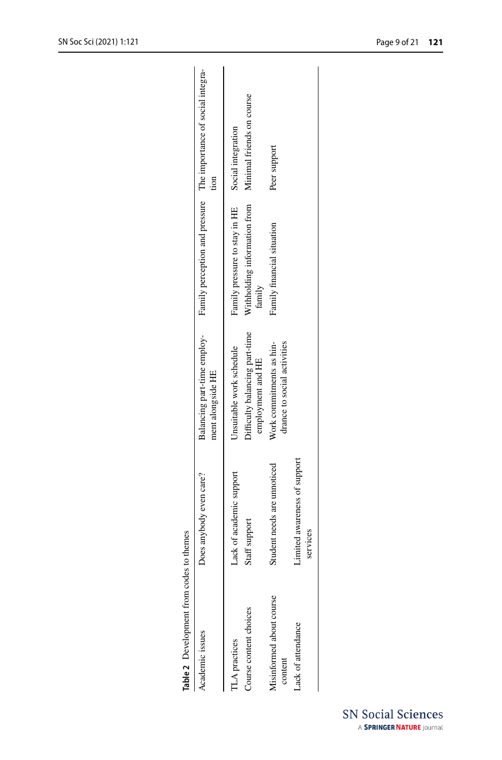<span id="page-8-0"></span>

| Table 2 Development from codes to themes       |                                           |                                                                                 |                                                                         |                                                                          |
|------------------------------------------------|-------------------------------------------|---------------------------------------------------------------------------------|-------------------------------------------------------------------------|--------------------------------------------------------------------------|
| Academic issues                                | Does anybody even care?                   | Balancing part-time employ-<br>ment alongside HE                                |                                                                         | Family perception and pressure The importance of social integra-<br>tion |
| Course content choices<br><b>ILA</b> practices | Lack of academic support<br>Staff support | Difficulty balancing part-time<br>Unsuitable work schedule<br>employment and HE | Withholding information from<br>Family pressure to stay in HE<br>family | Minimal friends on course<br>Social integration                          |
| Misinformed about course<br>content            | Student needs are unnoticed               | Work commitments as hin-<br>drance to social activities                         | Family financial situation                                              | Peer support                                                             |
| ack of attendance                              | Limited awareness of support<br>services  |                                                                                 |                                                                         |                                                                          |
|                                                |                                           |                                                                                 |                                                                         |                                                                          |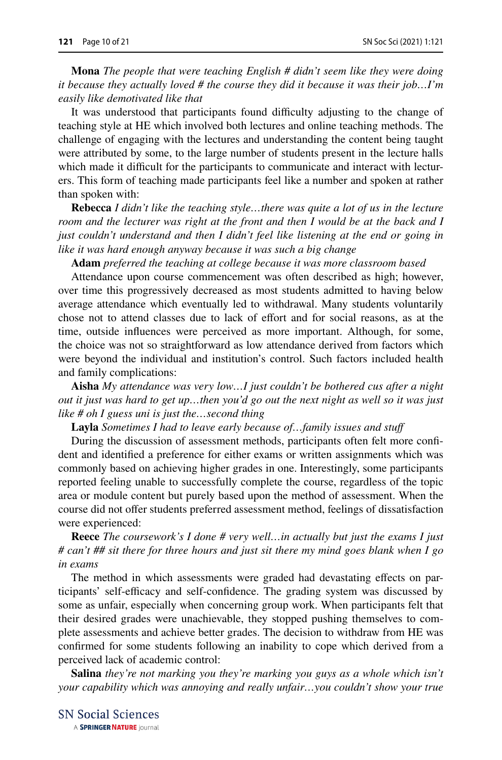**Mona** *The people that were teaching English # didn't seem like they were doing it because they actually loved # the course they did it because it was their job…I'm easily like demotivated like that*

It was understood that participants found difficulty adjusting to the change of teaching style at HE which involved both lectures and online teaching methods. The challenge of engaging with the lectures and understanding the content being taught were attributed by some, to the large number of students present in the lecture halls which made it difficult for the participants to communicate and interact with lecturers. This form of teaching made participants feel like a number and spoken at rather than spoken with:

**Rebecca** *I didn't like the teaching style…there was quite a lot of us in the lecture room and the lecturer was right at the front and then I would be at the back and I just couldn't understand and then I didn't feel like listening at the end or going in like it was hard enough anyway because it was such a big change*

**Adam** *preferred the teaching at college because it was more classroom based*

Attendance upon course commencement was often described as high; however, over time this progressively decreased as most students admitted to having below average attendance which eventually led to withdrawal. Many students voluntarily chose not to attend classes due to lack of efort and for social reasons, as at the time, outside infuences were perceived as more important. Although, for some, the choice was not so straightforward as low attendance derived from factors which were beyond the individual and institution's control. Such factors included health and family complications:

**Aisha** *My attendance was very low…I just couldn't be bothered cus after a night out it just was hard to get up…then you'd go out the next night as well so it was just like # oh I guess uni is just the…second thing*

**Layla** *Sometimes I had to leave early because of…family issues and stuf*

During the discussion of assessment methods, participants often felt more confdent and identifed a preference for either exams or written assignments which was commonly based on achieving higher grades in one. Interestingly, some participants reported feeling unable to successfully complete the course, regardless of the topic area or module content but purely based upon the method of assessment. When the course did not ofer students preferred assessment method, feelings of dissatisfaction were experienced:

**Reece** *The coursework's I done # very well…in actually but just the exams I just # can't ## sit there for three hours and just sit there my mind goes blank when I go in exams*

The method in which assessments were graded had devastating efects on participants' self-efficacy and self-confidence. The grading system was discussed by some as unfair, especially when concerning group work. When participants felt that their desired grades were unachievable, they stopped pushing themselves to complete assessments and achieve better grades. The decision to withdraw from HE was confrmed for some students following an inability to cope which derived from a perceived lack of academic control:

**Salina** *they're not marking you they're marking you guys as a whole which isn't your capability which was annoying and really unfair…you couldn't show your true*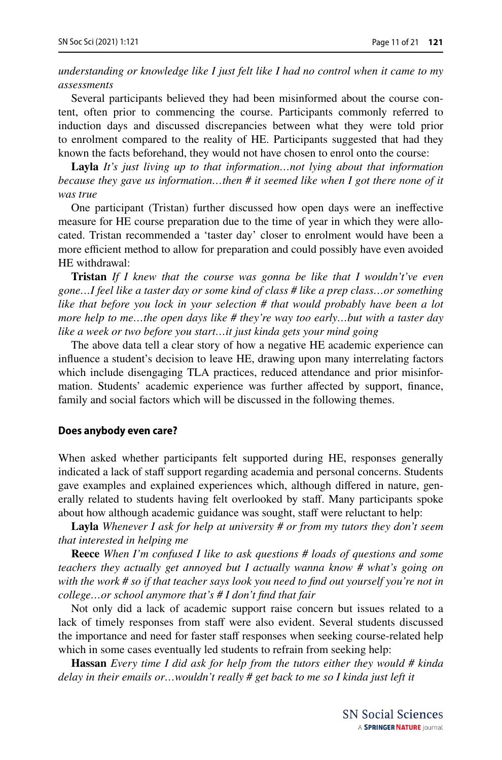*understanding or knowledge like I just felt like I had no control when it came to my assessments*

Several participants believed they had been misinformed about the course content, often prior to commencing the course. Participants commonly referred to induction days and discussed discrepancies between what they were told prior to enrolment compared to the reality of HE. Participants suggested that had they known the facts beforehand, they would not have chosen to enrol onto the course:

**Layla** *It's just living up to that information…not lying about that information because they gave us information…then # it seemed like when I got there none of it was true*

One participant (Tristan) further discussed how open days were an inefective measure for HE course preparation due to the time of year in which they were allocated. Tristan recommended a 'taster day' closer to enrolment would have been a more efficient method to allow for preparation and could possibly have even avoided HE withdrawal:

**Tristan** *If I knew that the course was gonna be like that I wouldn't've even gone…I feel like a taster day or some kind of class # like a prep class…or something like that before you lock in your selection # that would probably have been a lot more help to me…the open days like # they're way too early…but with a taster day like a week or two before you start…it just kinda gets your mind going*

The above data tell a clear story of how a negative HE academic experience can infuence a student's decision to leave HE, drawing upon many interrelating factors which include disengaging TLA practices, reduced attendance and prior misinformation. Students' academic experience was further affected by support, finance, family and social factors which will be discussed in the following themes.

#### **Does anybody even care?**

When asked whether participants felt supported during HE, responses generally indicated a lack of staff support regarding academia and personal concerns. Students gave examples and explained experiences which, although difered in nature, generally related to students having felt overlooked by staf. Many participants spoke about how although academic guidance was sought, staff were reluctant to help:

**Layla** *Whenever I ask for help at university # or from my tutors they don't seem that interested in helping me*

**Reece** *When I'm confused I like to ask questions # loads of questions and some teachers they actually get annoyed but I actually wanna know # what's going on with the work # so if that teacher says look you need to fnd out yourself you're not in college…or school anymore that's # I don't fnd that fair*

Not only did a lack of academic support raise concern but issues related to a lack of timely responses from staff were also evident. Several students discussed the importance and need for faster staf responses when seeking course-related help which in some cases eventually led students to refrain from seeking help:

**Hassan** *Every time I did ask for help from the tutors either they would # kinda delay in their emails or…wouldn't really # get back to me so I kinda just left it*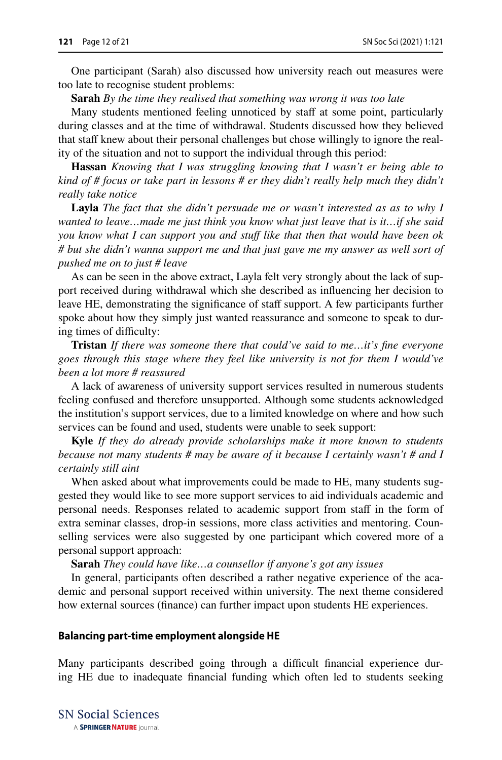One participant (Sarah) also discussed how university reach out measures were too late to recognise student problems:

**Sarah** *By the time they realised that something was wrong it was too late*

Many students mentioned feeling unnoticed by staff at some point, particularly during classes and at the time of withdrawal. Students discussed how they believed that staff knew about their personal challenges but chose willingly to ignore the reality of the situation and not to support the individual through this period:

**Hassan** *Knowing that I was struggling knowing that I wasn't er being able to kind of # focus or take part in lessons # er they didn't really help much they didn't really take notice*

**Layla** *The fact that she didn't persuade me or wasn't interested as as to why I wanted to leave…made me just think you know what just leave that is it…if she said you know what I can support you and stuff like that then that would have been ok # but she didn't wanna support me and that just gave me my answer as well sort of pushed me on to just # leave*

As can be seen in the above extract, Layla felt very strongly about the lack of support received during withdrawal which she described as infuencing her decision to leave HE, demonstrating the signifcance of staf support. A few participants further spoke about how they simply just wanted reassurance and someone to speak to during times of difficulty:

**Tristan** *If there was someone there that could've said to me…it's fne everyone goes through this stage where they feel like university is not for them I would've been a lot more # reassured*

A lack of awareness of university support services resulted in numerous students feeling confused and therefore unsupported. Although some students acknowledged the institution's support services, due to a limited knowledge on where and how such services can be found and used, students were unable to seek support:

**Kyle** *If they do already provide scholarships make it more known to students because not many students # may be aware of it because I certainly wasn't # and I certainly still aint*

When asked about what improvements could be made to HE, many students suggested they would like to see more support services to aid individuals academic and personal needs. Responses related to academic support from staff in the form of extra seminar classes, drop-in sessions, more class activities and mentoring. Counselling services were also suggested by one participant which covered more of a personal support approach:

**Sarah** *They could have like…a counsellor if anyone's got any issues*

In general, participants often described a rather negative experience of the academic and personal support received within university. The next theme considered how external sources (fnance) can further impact upon students HE experiences.

#### **Balancing part‑time employment alongside HE**

Many participants described going through a difficult financial experience during HE due to inadequate fnancial funding which often led to students seeking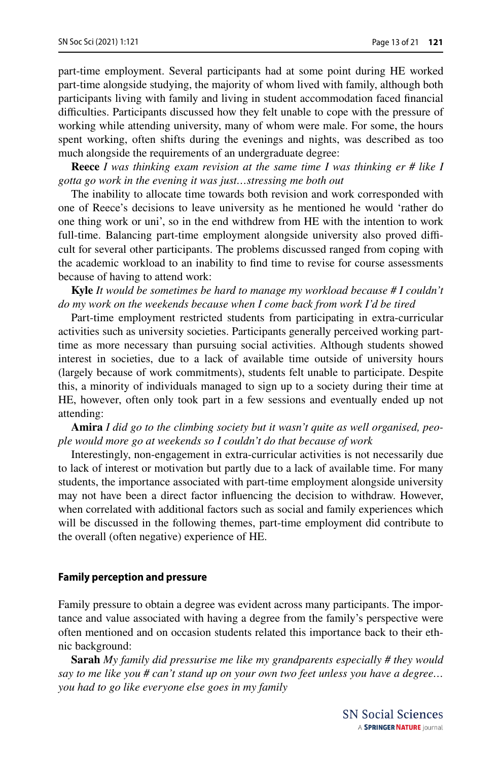part-time employment. Several participants had at some point during HE worked part-time alongside studying, the majority of whom lived with family, although both participants living with family and living in student accommodation faced fnancial difculties. Participants discussed how they felt unable to cope with the pressure of working while attending university, many of whom were male. For some, the hours spent working, often shifts during the evenings and nights, was described as too much alongside the requirements of an undergraduate degree:

**Reece** *I was thinking exam revision at the same time I was thinking er # like I gotta go work in the evening it was just…stressing me both out*

The inability to allocate time towards both revision and work corresponded with one of Reece's decisions to leave university as he mentioned he would 'rather do one thing work or uni', so in the end withdrew from HE with the intention to work full-time. Balancing part-time employment alongside university also proved difficult for several other participants. The problems discussed ranged from coping with the academic workload to an inability to fnd time to revise for course assessments because of having to attend work:

**Kyle** *It would be sometimes be hard to manage my workload because # I couldn't do my work on the weekends because when I come back from work I'd be tired*

Part-time employment restricted students from participating in extra-curricular activities such as university societies. Participants generally perceived working parttime as more necessary than pursuing social activities. Although students showed interest in societies, due to a lack of available time outside of university hours (largely because of work commitments), students felt unable to participate. Despite this, a minority of individuals managed to sign up to a society during their time at HE, however, often only took part in a few sessions and eventually ended up not attending:

**Amira** *I did go to the climbing society but it wasn't quite as well organised, people would more go at weekends so I couldn't do that because of work*

Interestingly, non-engagement in extra-curricular activities is not necessarily due to lack of interest or motivation but partly due to a lack of available time. For many students, the importance associated with part-time employment alongside university may not have been a direct factor infuencing the decision to withdraw. However, when correlated with additional factors such as social and family experiences which will be discussed in the following themes, part-time employment did contribute to the overall (often negative) experience of HE.

### **Family perception and pressure**

Family pressure to obtain a degree was evident across many participants. The importance and value associated with having a degree from the family's perspective were often mentioned and on occasion students related this importance back to their ethnic background:

**Sarah** *My family did pressurise me like my grandparents especially # they would say to me like you # can't stand up on your own two feet unless you have a degree… you had to go like everyone else goes in my family*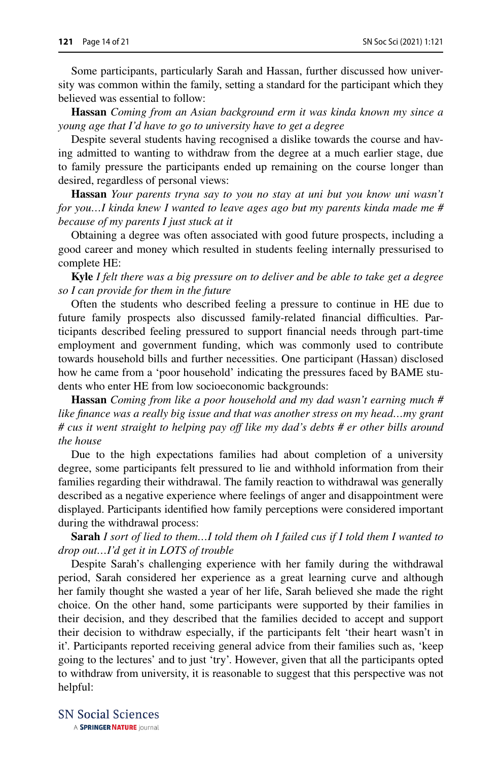Some participants, particularly Sarah and Hassan, further discussed how university was common within the family, setting a standard for the participant which they believed was essential to follow:

**Hassan** *Coming from an Asian background erm it was kinda known my since a young age that I'd have to go to university have to get a degree*

Despite several students having recognised a dislike towards the course and having admitted to wanting to withdraw from the degree at a much earlier stage, due to family pressure the participants ended up remaining on the course longer than desired, regardless of personal views:

**Hassan** *Your parents tryna say to you no stay at uni but you know uni wasn't for you…I kinda knew I wanted to leave ages ago but my parents kinda made me # because of my parents I just stuck at it*

Obtaining a degree was often associated with good future prospects, including a good career and money which resulted in students feeling internally pressurised to complete HE:

**Kyle** *I felt there was a big pressure on to deliver and be able to take get a degree so I can provide for them in the future*

Often the students who described feeling a pressure to continue in HE due to future family prospects also discussed family-related financial difficulties. Participants described feeling pressured to support fnancial needs through part-time employment and government funding, which was commonly used to contribute towards household bills and further necessities. One participant (Hassan) disclosed how he came from a 'poor household' indicating the pressures faced by BAME students who enter HE from low socioeconomic backgrounds:

**Hassan** *Coming from like a poor household and my dad wasn't earning much # like fnance was a really big issue and that was another stress on my head…my grant # cus it went straight to helping pay of like my dad's debts # er other bills around the house*

Due to the high expectations families had about completion of a university degree, some participants felt pressured to lie and withhold information from their families regarding their withdrawal. The family reaction to withdrawal was generally described as a negative experience where feelings of anger and disappointment were displayed. Participants identifed how family perceptions were considered important during the withdrawal process:

**Sarah** *I sort of lied to them…I told them oh I failed cus if I told them I wanted to drop out…I'd get it in LOTS of trouble*

Despite Sarah's challenging experience with her family during the withdrawal period, Sarah considered her experience as a great learning curve and although her family thought she wasted a year of her life, Sarah believed she made the right choice. On the other hand, some participants were supported by their families in their decision, and they described that the families decided to accept and support their decision to withdraw especially, if the participants felt 'their heart wasn't in it'. Participants reported receiving general advice from their families such as, 'keep going to the lectures' and to just 'try'. However, given that all the participants opted to withdraw from university, it is reasonable to suggest that this perspective was not helpful: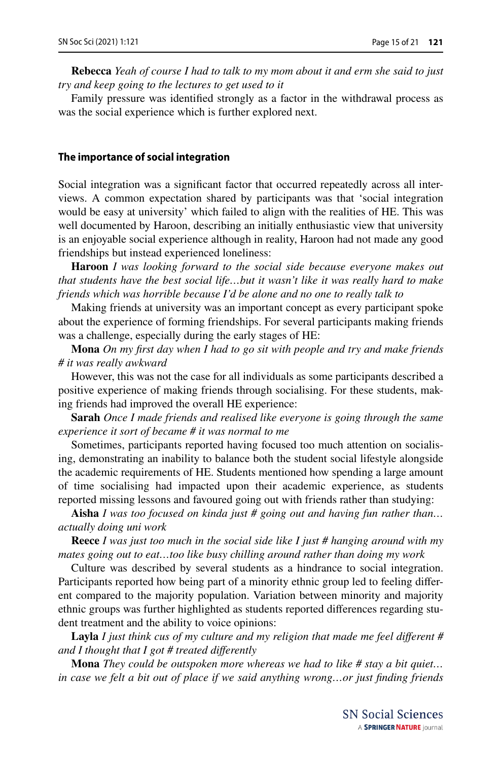**Rebecca** *Yeah of course I had to talk to my mom about it and erm she said to just try and keep going to the lectures to get used to it*

Family pressure was identifed strongly as a factor in the withdrawal process as was the social experience which is further explored next.

#### **The importance of social integration**

Social integration was a signifcant factor that occurred repeatedly across all interviews. A common expectation shared by participants was that 'social integration would be easy at university' which failed to align with the realities of HE. This was well documented by Haroon, describing an initially enthusiastic view that university is an enjoyable social experience although in reality, Haroon had not made any good friendships but instead experienced loneliness:

**Haroon** *I was looking forward to the social side because everyone makes out that students have the best social life…but it wasn't like it was really hard to make friends which was horrible because I'd be alone and no one to really talk to*

Making friends at university was an important concept as every participant spoke about the experience of forming friendships. For several participants making friends was a challenge, especially during the early stages of HE:

**Mona** *On my frst day when I had to go sit with people and try and make friends # it was really awkward*

However, this was not the case for all individuals as some participants described a positive experience of making friends through socialising. For these students, making friends had improved the overall HE experience:

**Sarah** *Once I made friends and realised like everyone is going through the same experience it sort of became # it was normal to me*

Sometimes, participants reported having focused too much attention on socialising, demonstrating an inability to balance both the student social lifestyle alongside the academic requirements of HE. Students mentioned how spending a large amount of time socialising had impacted upon their academic experience, as students reported missing lessons and favoured going out with friends rather than studying:

**Aisha** *I was too focused on kinda just # going out and having fun rather than… actually doing uni work*

**Reece** *I was just too much in the social side like I just # hanging around with my mates going out to eat…too like busy chilling around rather than doing my work*

Culture was described by several students as a hindrance to social integration. Participants reported how being part of a minority ethnic group led to feeling diferent compared to the majority population. Variation between minority and majority ethnic groups was further highlighted as students reported diferences regarding student treatment and the ability to voice opinions:

**Layla** *I just think cus of my culture and my religion that made me feel diferent # and I thought that I got # treated diferently*

**Mona** *They could be outspoken more whereas we had to like # stay a bit quiet… in case we felt a bit out of place if we said anything wrong…or just fnding friends*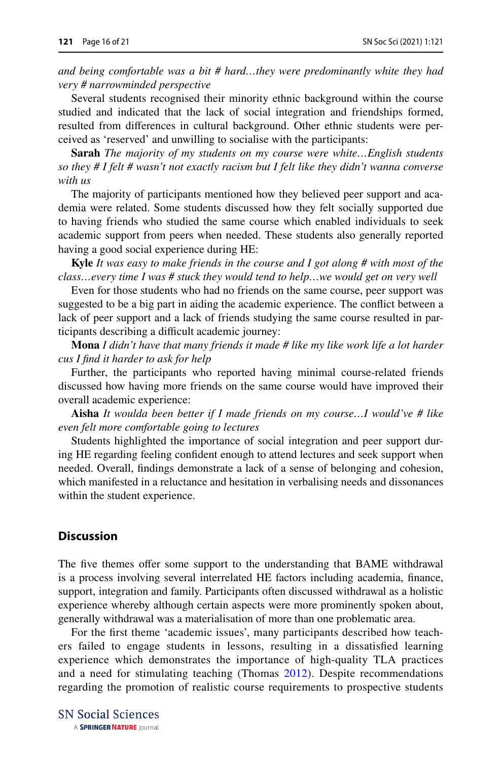*and being comfortable was a bit # hard…they were predominantly white they had very # narrowminded perspective*

Several students recognised their minority ethnic background within the course studied and indicated that the lack of social integration and friendships formed, resulted from diferences in cultural background. Other ethnic students were perceived as 'reserved' and unwilling to socialise with the participants:

**Sarah** *The majority of my students on my course were white…English students so they # I felt # wasn't not exactly racism but I felt like they didn't wanna converse with us*

The majority of participants mentioned how they believed peer support and academia were related. Some students discussed how they felt socially supported due to having friends who studied the same course which enabled individuals to seek academic support from peers when needed. These students also generally reported having a good social experience during HE:

**Kyle** *It was easy to make friends in the course and I got along # with most of the class…every time I was # stuck they would tend to help…we would get on very well*

Even for those students who had no friends on the same course, peer support was suggested to be a big part in aiding the academic experience. The confict between a lack of peer support and a lack of friends studying the same course resulted in participants describing a difficult academic journey:

**Mona** *I didn't have that many friends it made # like my like work life a lot harder cus I fnd it harder to ask for help*

Further, the participants who reported having minimal course-related friends discussed how having more friends on the same course would have improved their overall academic experience:

**Aisha** *It woulda been better if I made friends on my course…I would've # like even felt more comfortable going to lectures*

Students highlighted the importance of social integration and peer support during HE regarding feeling confdent enough to attend lectures and seek support when needed. Overall, fndings demonstrate a lack of a sense of belonging and cohesion, which manifested in a reluctance and hesitation in verbalising needs and dissonances within the student experience.

### **Discussion**

The five themes offer some support to the understanding that BAME withdrawal is a process involving several interrelated HE factors including academia, fnance, support, integration and family. Participants often discussed withdrawal as a holistic experience whereby although certain aspects were more prominently spoken about, generally withdrawal was a materialisation of more than one problematic area.

For the frst theme 'academic issues', many participants described how teachers failed to engage students in lessons, resulting in a dissatisfed learning experience which demonstrates the importance of high-quality TLA practices and a need for stimulating teaching (Thomas [2012](#page-20-10)). Despite recommendations regarding the promotion of realistic course requirements to prospective students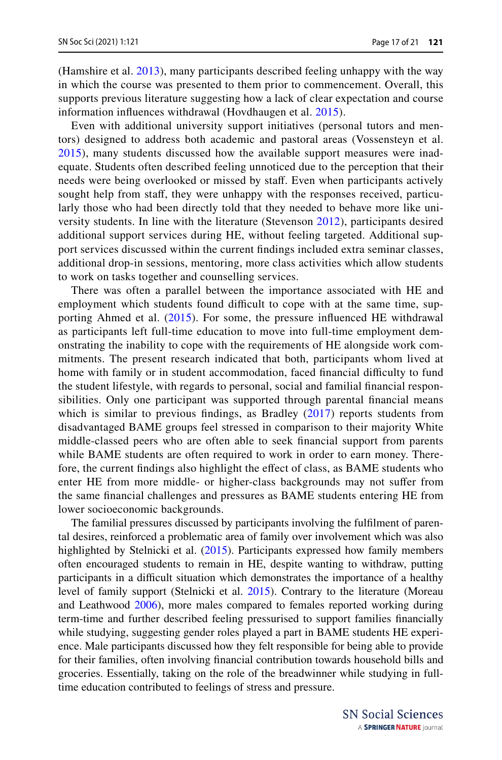(Hamshire et al. [2013](#page-19-10)), many participants described feeling unhappy with the way in which the course was presented to them prior to commencement. Overall, this supports previous literature suggesting how a lack of clear expectation and course information infuences withdrawal (Hovdhaugen et al. [2015\)](#page-19-2).

Even with additional university support initiatives (personal tutors and mentors) designed to address both academic and pastoral areas (Vossensteyn et al. [2015\)](#page-20-9), many students discussed how the available support measures were inadequate. Students often described feeling unnoticed due to the perception that their needs were being overlooked or missed by staf. Even when participants actively sought help from staff, they were unhappy with the responses received, particularly those who had been directly told that they needed to behave more like university students. In line with the literature (Stevenson [2012\)](#page-20-8), participants desired additional support services during HE, without feeling targeted. Additional support services discussed within the current fndings included extra seminar classes, additional drop-in sessions, mentoring, more class activities which allow students to work on tasks together and counselling services.

There was often a parallel between the importance associated with HE and employment which students found difficult to cope with at the same time, supporting Ahmed et al. [\(2015\)](#page-19-11). For some, the pressure infuenced HE withdrawal as participants left full-time education to move into full-time employment demonstrating the inability to cope with the requirements of HE alongside work commitments. The present research indicated that both, participants whom lived at home with family or in student accommodation, faced financial difficulty to fund the student lifestyle, with regards to personal, social and familial fnancial responsibilities. Only one participant was supported through parental fnancial means which is similar to previous findings, as Bradley  $(2017)$  reports students from disadvantaged BAME groups feel stressed in comparison to their majority White middle-classed peers who are often able to seek fnancial support from parents while BAME students are often required to work in order to earn money. Therefore, the current fndings also highlight the efect of class, as BAME students who enter HE from more middle- or higher-class backgrounds may not sufer from the same fnancial challenges and pressures as BAME students entering HE from lower socioeconomic backgrounds.

The familial pressures discussed by participants involving the fulflment of parental desires, reinforced a problematic area of family over involvement which was also highlighted by Stelnicki et al. [\(2015](#page-20-1)). Participants expressed how family members often encouraged students to remain in HE, despite wanting to withdraw, putting participants in a difficult situation which demonstrates the importance of a healthy level of family support (Stelnicki et al. [2015\)](#page-20-1). Contrary to the literature (Moreau and Leathwood [2006\)](#page-20-14), more males compared to females reported working during term-time and further described feeling pressurised to support families fnancially while studying, suggesting gender roles played a part in BAME students HE experience. Male participants discussed how they felt responsible for being able to provide for their families, often involving fnancial contribution towards household bills and groceries. Essentially, taking on the role of the breadwinner while studying in fulltime education contributed to feelings of stress and pressure.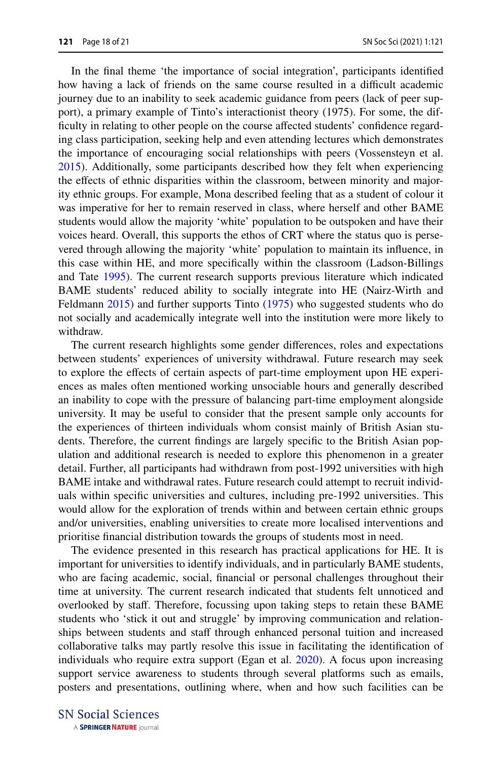In the fnal theme 'the importance of social integration', participants identifed how having a lack of friends on the same course resulted in a difficult academic journey due to an inability to seek academic guidance from peers (lack of peer support), a primary example of Tinto's interactionist theory (1975). For some, the difficulty in relating to other people on the course affected students' confidence regarding class participation, seeking help and even attending lectures which demonstrates the importance of encouraging social relationships with peers (Vossensteyn et al. [2015](#page-20-9)). Additionally, some participants described how they felt when experiencing the efects of ethnic disparities within the classroom, between minority and majority ethnic groups. For example, Mona described feeling that as a student of colour it was imperative for her to remain reserved in class, where herself and other BAME students would allow the majority 'white' population to be outspoken and have their voices heard. Overall, this supports the ethos of CRT where the status quo is persevered through allowing the majority 'white' population to maintain its infuence, in this case within HE, and more specifcally within the classroom (Ladson-Billings and Tate [1995](#page-19-5)). The current research supports previous literature which indicated BAME students' reduced ability to socially integrate into HE (Nairz-Wirth and Feldmann [2015](#page-20-6)) and further supports Tinto [\(1975](#page-20-5)) who suggested students who do not socially and academically integrate well into the institution were more likely to withdraw.

The current research highlights some gender diferences, roles and expectations between students' experiences of university withdrawal. Future research may seek to explore the efects of certain aspects of part-time employment upon HE experiences as males often mentioned working unsociable hours and generally described an inability to cope with the pressure of balancing part-time employment alongside university. It may be useful to consider that the present sample only accounts for the experiences of thirteen individuals whom consist mainly of British Asian students. Therefore, the current fndings are largely specifc to the British Asian population and additional research is needed to explore this phenomenon in a greater detail. Further, all participants had withdrawn from post-1992 universities with high BAME intake and withdrawal rates. Future research could attempt to recruit individuals within specifc universities and cultures, including pre-1992 universities. This would allow for the exploration of trends within and between certain ethnic groups and/or universities, enabling universities to create more localised interventions and prioritise fnancial distribution towards the groups of students most in need.

The evidence presented in this research has practical applications for HE. It is important for universities to identify individuals, and in particularly BAME students, who are facing academic, social, fnancial or personal challenges throughout their time at university. The current research indicated that students felt unnoticed and overlooked by staf. Therefore, focussing upon taking steps to retain these BAME students who 'stick it out and struggle' by improving communication and relationships between students and staff through enhanced personal tuition and increased collaborative talks may partly resolve this issue in facilitating the identifcation of individuals who require extra support (Egan et al. [2020](#page-19-13)). A focus upon increasing support service awareness to students through several platforms such as emails, posters and presentations, outlining where, when and how such facilities can be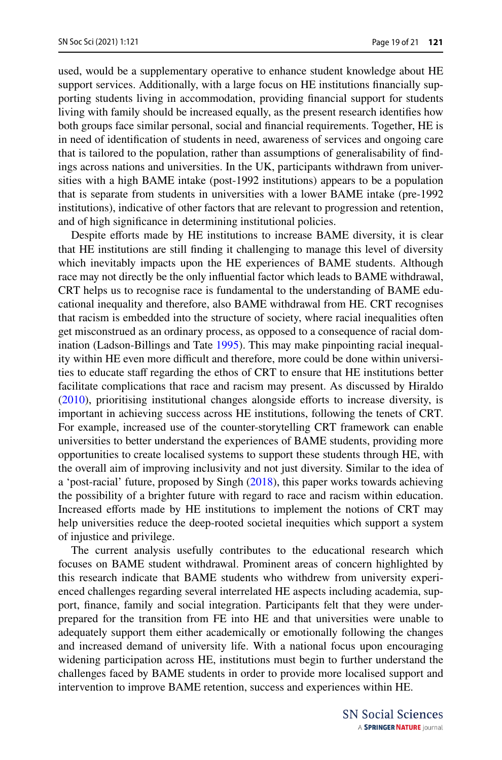used, would be a supplementary operative to enhance student knowledge about HE support services. Additionally, with a large focus on HE institutions fnancially supporting students living in accommodation, providing fnancial support for students living with family should be increased equally, as the present research identifes how both groups face similar personal, social and fnancial requirements. Together, HE is in need of identifcation of students in need, awareness of services and ongoing care that is tailored to the population, rather than assumptions of generalisability of fndings across nations and universities. In the UK, participants withdrawn from universities with a high BAME intake (post-1992 institutions) appears to be a population that is separate from students in universities with a lower BAME intake (pre-1992 institutions), indicative of other factors that are relevant to progression and retention, and of high signifcance in determining institutional policies.

Despite efforts made by HE institutions to increase BAME diversity, it is clear that HE institutions are still fnding it challenging to manage this level of diversity which inevitably impacts upon the HE experiences of BAME students. Although race may not directly be the only infuential factor which leads to BAME withdrawal, CRT helps us to recognise race is fundamental to the understanding of BAME educational inequality and therefore, also BAME withdrawal from HE. CRT recognises that racism is embedded into the structure of society, where racial inequalities often get misconstrued as an ordinary process, as opposed to a consequence of racial domination (Ladson-Billings and Tate [1995](#page-19-5)). This may make pinpointing racial inequality within HE even more difficult and therefore, more could be done within universities to educate staff regarding the ethos of CRT to ensure that HE institutions better facilitate complications that race and racism may present. As discussed by Hiraldo [\(2010](#page-19-4)), prioritising institutional changes alongside eforts to increase diversity, is important in achieving success across HE institutions, following the tenets of CRT. For example, increased use of the counter-storytelling CRT framework can enable universities to better understand the experiences of BAME students, providing more opportunities to create localised systems to support these students through HE, with the overall aim of improving inclusivity and not just diversity. Similar to the idea of a 'post-racial' future, proposed by Singh [\(2018](#page-20-3)), this paper works towards achieving the possibility of a brighter future with regard to race and racism within education. Increased eforts made by HE institutions to implement the notions of CRT may help universities reduce the deep-rooted societal inequities which support a system of injustice and privilege.

The current analysis usefully contributes to the educational research which focuses on BAME student withdrawal. Prominent areas of concern highlighted by this research indicate that BAME students who withdrew from university experienced challenges regarding several interrelated HE aspects including academia, support, fnance, family and social integration. Participants felt that they were underprepared for the transition from FE into HE and that universities were unable to adequately support them either academically or emotionally following the changes and increased demand of university life. With a national focus upon encouraging widening participation across HE, institutions must begin to further understand the challenges faced by BAME students in order to provide more localised support and intervention to improve BAME retention, success and experiences within HE.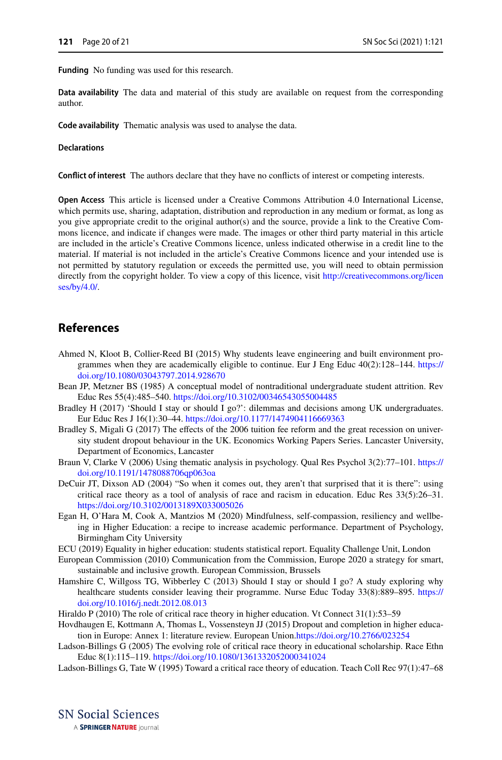**Funding** No funding was used for this research.

**Data availability** The data and material of this study are available on request from the corresponding author.

**Code availability** Thematic analysis was used to analyse the data.

#### **Declarations**

**Confict of interest** The authors declare that they have no conficts of interest or competing interests.

**Open Access** This article is licensed under a Creative Commons Attribution 4.0 International License, which permits use, sharing, adaptation, distribution and reproduction in any medium or format, as long as you give appropriate credit to the original author(s) and the source, provide a link to the Creative Commons licence, and indicate if changes were made. The images or other third party material in this article are included in the article's Creative Commons licence, unless indicated otherwise in a credit line to the material. If material is not included in the article's Creative Commons licence and your intended use is not permitted by statutory regulation or exceeds the permitted use, you will need to obtain permission directly from the copyright holder. To view a copy of this licence, visit [http://creativecommons.org/licen](http://creativecommons.org/licenses/by/4.0/) [ses/by/4.0/](http://creativecommons.org/licenses/by/4.0/).

### **References**

- <span id="page-19-11"></span>Ahmed N, Kloot B, Collier-Reed BI (2015) Why students leave engineering and built environment programmes when they are academically eligible to continue. Eur J Eng Educ  $40(2)$ :128–144. [https://](https://doi.org/10.1080/03043797.2014.928670) [doi.org/10.1080/03043797.2014.928670](https://doi.org/10.1080/03043797.2014.928670)
- <span id="page-19-8"></span>Bean JP, Metzner BS (1985) A conceptual model of nontraditional undergraduate student attrition. Rev Educ Res 55(4):485–540. <https://doi.org/10.3102/00346543055004485>
- <span id="page-19-9"></span>Bradley H (2017) 'Should I stay or should I go?': dilemmas and decisions among UK undergraduates. Eur Educ Res J 16(1):30–44.<https://doi.org/10.1177/1474904116669363>
- <span id="page-19-1"></span>Bradley S, Migali G (2017) The efects of the 2006 tuition fee reform and the great recession on university student dropout behaviour in the UK. Economics Working Papers Series. Lancaster University, Department of Economics, Lancaster
- <span id="page-19-12"></span>Braun V, Clarke V (2006) Using thematic analysis in psychology. Qual Res Psychol 3(2):77–101. [https://](https://doi.org/10.1191/1478088706qp063oa) [doi.org/10.1191/1478088706qp063oa](https://doi.org/10.1191/1478088706qp063oa)
- <span id="page-19-7"></span>DeCuir JT, Dixson AD (2004) "So when it comes out, they aren't that surprised that it is there": using critical race theory as a tool of analysis of race and racism in education. Educ Res 33(5):26–31. <https://doi.org/10.3102/0013189X033005026>
- <span id="page-19-13"></span>Egan H, O'Hara M, Cook A, Mantzios M (2020) Mindfulness, self-compassion, resiliency and wellbeing in Higher Education: a recipe to increase academic performance. Department of Psychology, Birmingham City University
- <span id="page-19-0"></span>ECU (2019) Equality in higher education: students statistical report. Equality Challenge Unit, London
- <span id="page-19-3"></span>European Commission (2010) Communication from the Commission, Europe 2020 a strategy for smart, sustainable and inclusive growth. European Commission, Brussels
- <span id="page-19-10"></span>Hamshire C, Willgoss TG, Wibberley C (2013) Should I stay or should I go? A study exploring why healthcare students consider leaving their programme. Nurse Educ Today 33(8):889–895. [https://](https://doi.org/10.1016/j.nedt.2012.08.013) [doi.org/10.1016/j.nedt.2012.08.013](https://doi.org/10.1016/j.nedt.2012.08.013)

<span id="page-19-4"></span>Hiraldo P (2010) The role of critical race theory in higher education. Vt Connect 31(1):53–59

- <span id="page-19-2"></span>Hovdhaugen E, Kottmann A, Thomas L, Vossensteyn JJ (2015) Dropout and completion in higher education in Europe: Annex 1: literature review. European Union.<https://doi.org/10.2766/023254>
- <span id="page-19-6"></span>Ladson-Billings G (2005) The evolving role of critical race theory in educational scholarship. Race Ethn Educ 8(1):115–119.<https://doi.org/10.1080/1361332052000341024>
- <span id="page-19-5"></span>Ladson-Billings G, Tate W (1995) Toward a critical race theory of education. Teach Coll Rec 97(1):47–68